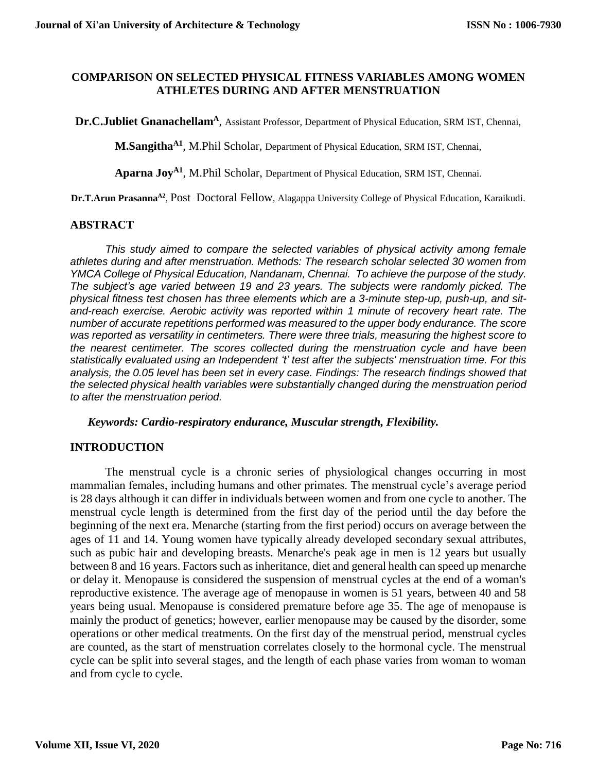## **COMPARISON ON SELECTED PHYSICAL FITNESS VARIABLES AMONG WOMEN ATHLETES DURING AND AFTER MENSTRUATION**

**Dr.C.Jubliet Gnanachellam<sup>A</sup>**, Assistant Professor, Department of Physical Education, SRM IST, Chennai,

**M.SangithaA1** , M.Phil Scholar, Department of Physical Education, SRM IST, Chennai,

**Aparna JoyA1** , M.Phil Scholar, Department of Physical Education, SRM IST, Chennai.

Dr.T.Arun Prasanna<sup>A2</sup>, Post Doctoral Fellow, Alagappa University College of Physical Education, Karaikudi.

#### **ABSTRACT**

*This study aimed to compare the selected variables of physical activity among female athletes during and after menstruation. Methods: The research scholar selected 30 women from YMCA College of Physical Education, Nandanam, Chennai. To achieve the purpose of the study. The subject's age varied between 19 and 23 years. The subjects were randomly picked. The physical fitness test chosen has three elements which are a 3-minute step-up, push-up, and sitand-reach exercise. Aerobic activity was reported within 1 minute of recovery heart rate. The number of accurate repetitions performed was measured to the upper body endurance. The score was reported as versatility in centimeters. There were three trials, measuring the highest score to the nearest centimeter. The scores collected during the menstruation cycle and have been statistically evaluated using an Independent 't' test after the subjects' menstruation time. For this analysis, the 0.05 level has been set in every case. Findings: The research findings showed that the selected physical health variables were substantially changed during the menstruation period to after the menstruation period.*

#### *Keywords: Cardio-respiratory endurance, Muscular strength, Flexibility.*

#### **INTRODUCTION**

The menstrual cycle is a chronic series of physiological changes occurring in most mammalian females, including humans and other primates. The menstrual cycle's average period is 28 days although it can differ in individuals between women and from one cycle to another. The menstrual cycle length is determined from the first day of the period until the day before the beginning of the next era. Menarche (starting from the first period) occurs on average between the ages of 11 and 14. Young women have typically already developed secondary sexual attributes, such as pubic hair and developing breasts. Menarche's peak age in men is 12 years but usually between 8 and 16 years. Factors such as inheritance, diet and general health can speed up menarche or delay it. Menopause is considered the suspension of menstrual cycles at the end of a woman's reproductive existence. The average age of menopause in women is 51 years, between 40 and 58 years being usual. Menopause is considered premature before age 35. The age of menopause is mainly the product of genetics; however, earlier menopause may be caused by the disorder, some operations or other medical treatments. On the first day of the menstrual period, menstrual cycles are counted, as the start of menstruation correlates closely to the hormonal cycle. The menstrual cycle can be split into several stages, and the length of each phase varies from woman to woman and from cycle to cycle.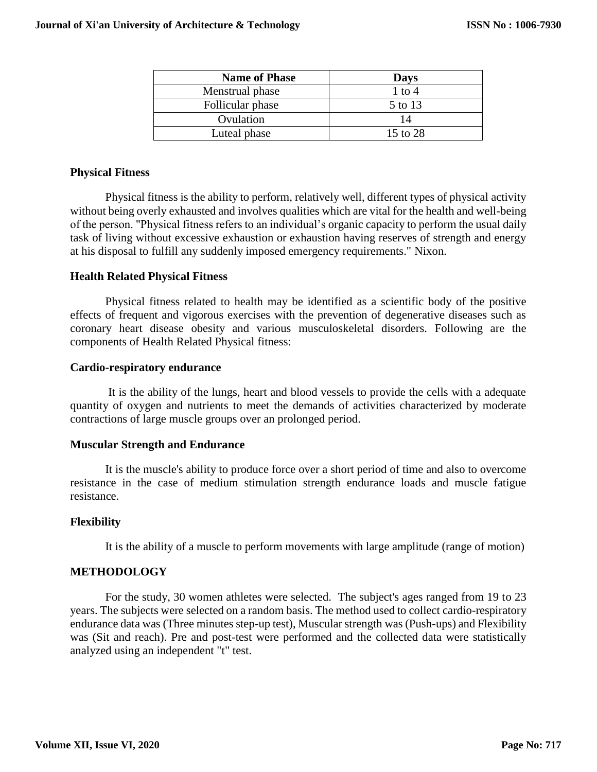| <b>Name of Phase</b> | <b>Days</b> |
|----------------------|-------------|
| Menstrual phase      | 1 to 4      |
| Follicular phase     | 5 to 13     |
| Ovulation            | 14          |
| Luteal phase         | 15 to 28    |

# **Physical Fitness**

Physical fitness is the ability to perform, relatively well, different types of physical activity without being overly exhausted and involves qualities which are vital for the health and well-being of the person. "Physical fitness refers to an individual's organic capacity to perform the usual daily task of living without excessive exhaustion or exhaustion having reserves of strength and energy at his disposal to fulfill any suddenly imposed emergency requirements." Nixon.

## **Health Related Physical Fitness**

Physical fitness related to health may be identified as a scientific body of the positive effects of frequent and vigorous exercises with the prevention of degenerative diseases such as coronary heart disease obesity and various musculoskeletal disorders. Following are the components of Health Related Physical fitness:

### **Cardio-respiratory endurance**

It is the ability of the lungs, heart and blood vessels to provide the cells with a adequate quantity of oxygen and nutrients to meet the demands of activities characterized by moderate contractions of large muscle groups over an prolonged period.

## **Muscular Strength and Endurance**

It is the muscle's ability to produce force over a short period of time and also to overcome resistance in the case of medium stimulation strength endurance loads and muscle fatigue resistance.

## **Flexibility**

It is the ability of a muscle to perform movements with large amplitude (range of motion)

#### **METHODOLOGY**

For the study, 30 women athletes were selected. The subject's ages ranged from 19 to 23 years. The subjects were selected on a random basis. The method used to collect cardio-respiratory endurance data was (Three minutes step-up test), Muscular strength was (Push-ups) and Flexibility was (Sit and reach). Pre and post-test were performed and the collected data were statistically analyzed using an independent "t" test.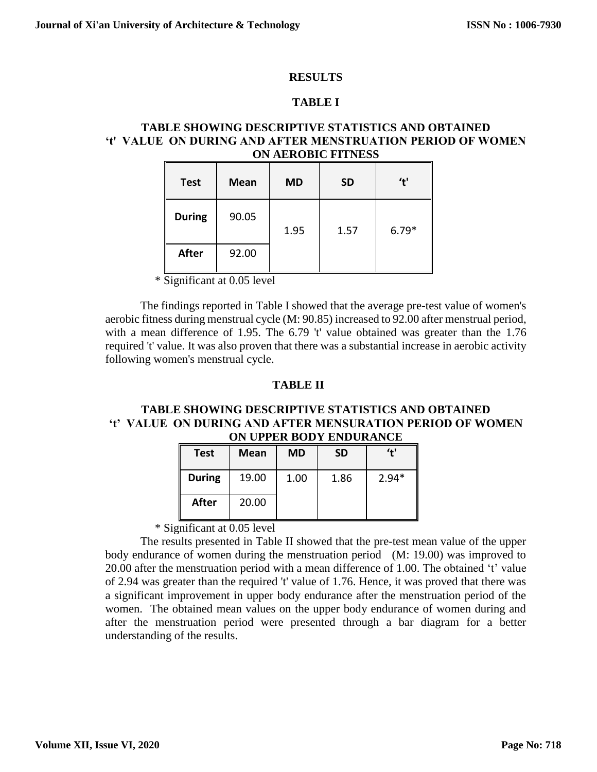### **RESULTS**

## **TABLE I**

### **TABLE SHOWING DESCRIPTIVE STATISTICS AND OBTAINED 't' VALUE ON DURING AND AFTER MENSTRUATION PERIOD OF WOMEN ON AEROBIC FITNESS**

| <b>Test</b>   | <b>Mean</b> | <b>MD</b> | <b>SD</b> | 't'     |
|---------------|-------------|-----------|-----------|---------|
| <b>During</b> | 90.05       | 1.95      | 1.57      | $6.79*$ |
| <b>After</b>  | 92.00       |           |           |         |

 $\frac{1}{\text{Significant at 0.05 level}}$ 

The findings reported in Table I showed that the average pre-test value of women's aerobic fitness during menstrual cycle (M: 90.85) increased to 92.00 after menstrual period, with a mean difference of 1.95. The 6.79 't' value obtained was greater than the 1.76 required 't' value. It was also proven that there was a substantial increase in aerobic activity following women's menstrual cycle.

### **TABLE II**

### **TABLE SHOWING DESCRIPTIVE STATISTICS AND OBTAINED 't' VALUE ON DURING AND AFTER MENSURATION PERIOD OF WOMEN ON UPPER BODY ENDURANCE**

| <b>Test</b>   | Mean  | <b>MD</b> | <b>SD</b> | $^{\prime}$ + $^{\prime}$ |
|---------------|-------|-----------|-----------|---------------------------|
| <b>During</b> | 19.00 | 1.00      | 1.86      | $2.94*$                   |
| After         | 20.00 |           |           |                           |

\* Significant at 0.05 level

The results presented in Table II showed that the pre-test mean value of the upper body endurance of women during the menstruation period (M: 19.00) was improved to 20.00 after the menstruation period with a mean difference of 1.00. The obtained 't' value of 2.94 was greater than the required 't' value of 1.76. Hence, it was proved that there was a significant improvement in upper body endurance after the menstruation period of the women. The obtained mean values on the upper body endurance of women during and after the menstruation period were presented through a bar diagram for a better understanding of the results.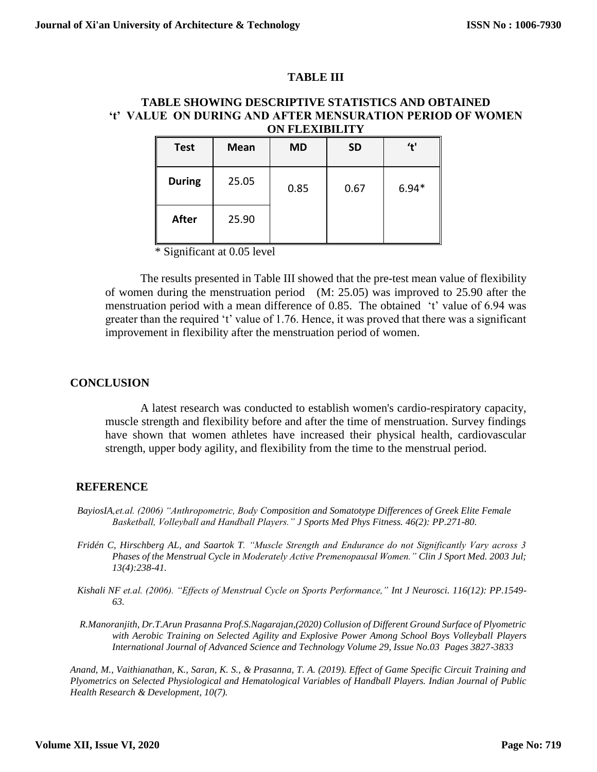## **TABLE III**

### **TABLE SHOWING DESCRIPTIVE STATISTICS AND OBTAINED 't' VALUE ON DURING AND AFTER MENSURATION PERIOD OF WOMEN ON FLEXIBILITY**

| <b>Test</b>   | <b>Mean</b> | <b>MD</b> | <b>SD</b> | 't'     |
|---------------|-------------|-----------|-----------|---------|
| <b>During</b> | 25.05       | 0.85      | 0.67      | $6.94*$ |
| <b>After</b>  | 25.90       |           |           |         |

\* Significant at 0.05 level

The results presented in Table III showed that the pre-test mean value of flexibility of women during the menstruation period (M: 25.05) was improved to 25.90 after the menstruation period with a mean difference of 0.85. The obtained 't' value of 6.94 was greater than the required 't' value of 1.76. Hence, it was proved that there was a significant improvement in flexibility after the menstruation period of women.

# **CONCLUSION**

A latest research was conducted to establish women's cardio-respiratory capacity, muscle strength and flexibility before and after the time of menstruation. Survey findings have shown that women athletes have increased their physical health, cardiovascular strength, upper body agility, and flexibility from the time to the menstrual period.

## **REFERENCE**

- *[BayiosIA,](http://www.ncbi.nlm.nih.gov/sites/entrez?Db=pubmed&Cmd=Search&Term=%22Bayios%20IA%22%5BAuthor%5D&itool=EntrezSystem2.PEntrez.Pubmed.Pubmed_ResultsPanel.Pubmed_DiscoveryPanel.Pubmed_RVAbstractPlus)et.al. (2006) "Anthropometric, Body Composition and Somatotype Differences of Greek Elite Female Basketball, Volleyball and Handball Players." [J Sports Med Phys Fitness.](javascript:AL_get(this,%20) 46(2): PP.271-80.*
- *[Fridén C,](http://www.ncbi.nlm.nih.gov/sites/entrez?Db=pubmed&Cmd=Search&Term=%22Frid%C3%A9n%20C%22%5BAuthor%5D&itool=EntrezSystem2.PEntrez.Pubmed.Pubmed_ResultsPanel.Pubmed_DiscoveryPanel.Pubmed_RVAbstractPlus) [Hirschberg AL,](http://www.ncbi.nlm.nih.gov/sites/entrez?Db=pubmed&Cmd=Search&Term=%22Hirschberg%20AL%22%5BAuthor%5D&itool=EntrezSystem2.PEntrez.Pubmed.Pubmed_ResultsPanel.Pubmed_DiscoveryPanel.Pubmed_RVAbstractPlus) and [Saartok T.](http://www.ncbi.nlm.nih.gov/sites/entrez?Db=pubmed&Cmd=Search&Term=%22Saartok%20T%22%5BAuthor%5D&itool=EntrezSystem2.PEntrez.Pubmed.Pubmed_ResultsPanel.Pubmed_DiscoveryPanel.Pubmed_RVAbstractPlus) "Muscle Strength and Endurance do not Significantly Vary across 3 Phases of the Menstrual Cycle in Moderately Active Premenopausal Women.[" Clin J Sport Med.](javascript:AL_get(this,%20) 2003 Jul; 13(4):238-41.*
- *[Kishali NF](http://www.ncbi.nlm.nih.gov/sites/entrez?Db=pubmed&Cmd=Search&Term=%22Kishali%20NF%22%5BAuthor%5D&itool=EntrezSystem2.PEntrez.Pubmed.Pubmed_ResultsPanel.Pubmed_DiscoveryPanel.Pubmed_RVAbstractPlus) et.al. (2006). "Effects of Menstrual Cycle on Sports Performance," [Int J Neurosci.](javascript:AL_get(this,%20) 116(12): PP.1549- 63.*
- *R.Manoranjith, Dr.T.Arun Prasanna Prof.S.Nagarajan,(2020) Collusion of Different Ground Surface of Plyometric with Aerobic Training on Selected Agility and Explosive Power Among School Boys Volleyball Players International Journal of Advanced Science and Technology Volume 29, Issue No.03 Pages 3827-3833*

*Anand, M., Vaithianathan, K., Saran, K. S., & Prasanna, T. A. (2019). Effect of Game Specific Circuit Training and Plyometrics on Selected Physiological and Hematological Variables of Handball Players. Indian Journal of Public Health Research & Development, 10(7).*